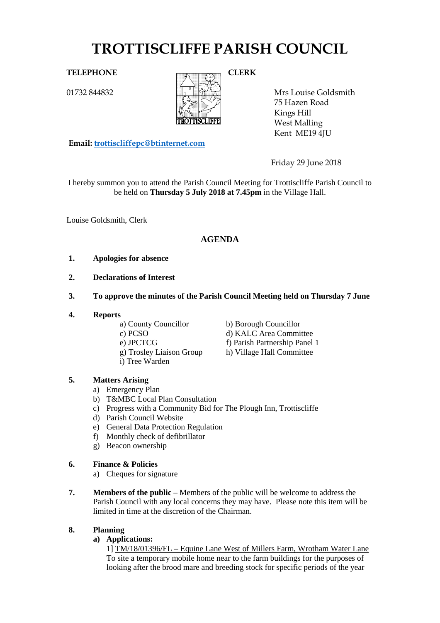# **TROTTISCLIFFE PARISH COUNCIL**

01732 844832



Mrs Louise Goldsmith 75 Hazen Road Kings Hill West Malling Kent ME19 4JU

Friday 29 June 2018

I hereby summon you to attend the Parish Council Meeting for Trottiscliffe Parish Council to be held on **Thursday 5 July 2018 at 7.45pm** in the Village Hall.

Louise Goldsmith, Clerk

# **AGENDA**

## **1. Apologies for absence**

- **2. Declarations of Interest**
- **3. To approve the minutes of the Parish Council Meeting held on Thursday 7 June**
- **4. Reports**
	-
	-

**Email: [trottiscliffepc@btinternet.com](mailto:trottiscliffepc@btinternet.com)**

- 
- 
- i) Tree Warden
- a) County Councillor b) Borough Councillor
- c) PCSO d) KALC Area Committee
- e) JPCTCG<br>
f) Parish Partnership Panel 1<br>
g) Trosley Liaison Group<br>
h) Village Hall Committee
	- h) Village Hall Committee

# **5. Matters Arising**

- a) Emergency Plan
- b) T&MBC Local Plan Consultation
- c) Progress with a Community Bid for The Plough Inn, Trottiscliffe
- d) Parish Council Website
- e) General Data Protection Regulation
- f) Monthly check of defibrillator
- g) Beacon ownership

# **6. Finance & Policies**

- a) Cheques for signature
- **7. Members of the public** Members of the public will be welcome to address the Parish Council with any local concerns they may have. Please note this item will be limited in time at the discretion of the Chairman.

# **8. Planning**

## **a) Applications:**

1] TM/18/01396/FL – Equine Lane West of Millers Farm, Wrotham Water Lane To site a temporary mobile home near to the farm buildings for the purposes of looking after the brood mare and breeding stock for specific periods of the year